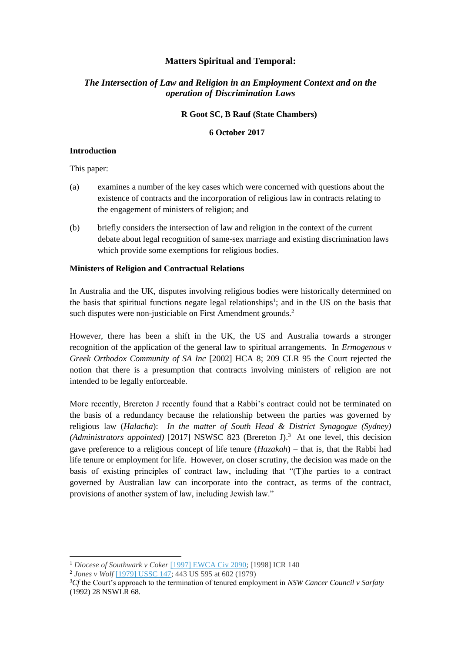# **Matters Spiritual and Temporal:**

# *The Intersection of Law and Religion in an Employment Context and on the operation of Discrimination Laws*

#### **R Goot SC, B Rauf (State Chambers)**

## **6 October 2017**

## **Introduction**

This paper:

- (a) examines a number of the key cases which were concerned with questions about the existence of contracts and the incorporation of religious law in contracts relating to the engagement of ministers of religion; and
- (b) briefly considers the intersection of law and religion in the context of the current debate about legal recognition of same-sex marriage and existing discrimination laws which provide some exemptions for religious bodies.

## **Ministers of Religion and Contractual Relations**

In Australia and the UK, disputes involving religious bodies were historically determined on the basis that spiritual functions negate legal relationships<sup>1</sup>; and in the US on the basis that such disputes were non-justiciable on First Amendment grounds.<sup>2</sup>

However, there has been a shift in the UK, the US and Australia towards a stronger recognition of the application of the general law to spiritual arrangements. In *Ermogenous v Greek Orthodox Community of SA Inc* [\[2002\] HCA 8;](http://www.austlii.edu.au/cgi-bin/viewdoc/au/cases/cth/HCA/2002/8.html) 209 CLR 95 the Court rejected the notion that there is a presumption that contracts involving ministers of religion are not intended to be legally enforceable.

More recently, Brereton J recently found that a Rabbi's contract could not be terminated on the basis of a redundancy because the relationship between the parties was governed by religious law (*Halacha*): *In the matter of South Head & District Synagogue (Sydney)*  (Administrators appointed) [\[2017\] NSWSC 823](http://www.austlii.edu.au/cgi-bin/viewdoc/au/cases/nsw/NSWSC/2017/823.html) (Brereton J).<sup>3</sup> At one level, this decision gave preference to a religious concept of life tenure (*Hazakah*) – that is, that the Rabbi had life tenure or employment for life. However, on closer scrutiny, the decision was made on the basis of existing principles of contract law, including that "(T)he parties to a contract governed by Australian law can incorporate into the contract, as terms of the contract, provisions of another system of law, including Jewish law."

 $\overline{\phantom{a}}$ 

<sup>1</sup> *Diocese of Southwark v Coker* [\[1997\] EWCA Civ 2090;](http://www.bailii.org/ew/cases/EWCA/Civ/1997/2090.html) [1998] ICR 140

<sup>2</sup> *Jones v Wolf* [\[1979\] USSC 147;](http://www.worldlii.org/us/cases/federal/USSC/1979/147.html) 443 US 595 at 602 (1979)

<sup>3</sup>*Cf* the Court's approach to the termination of tenured employment in *NSW Cancer Council v Sarfaty*  (1992) 28 NSWLR 68.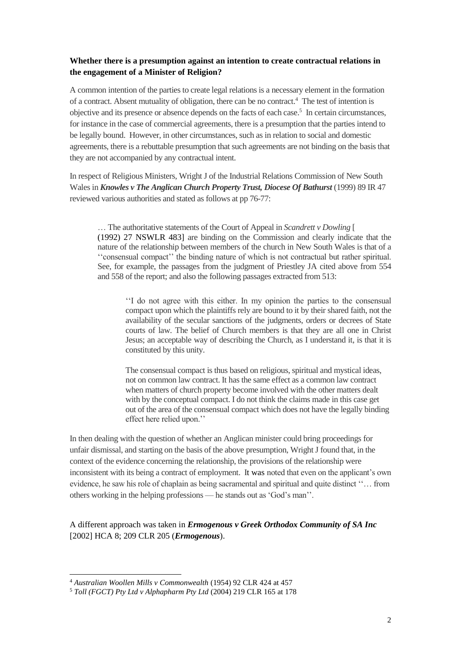# **Whether there is a presumption against an intention to create contractual relations in the engagement of a Minister of Religion?**

A common intention of the parties to create legal relations is a necessary element in the formation of a contract. Absent mutuality of obligation, there can be no contract.<sup>4</sup> The test of intention is objective and its presence or absence depends on the facts of each case.<sup>5</sup> In certain circumstances, for instance in the case of commercial agreements, there is a presumption that the parties intend to be legally bound. However, in other circumstances, such as in relation to social and domestic agreements, there is a rebuttable presumption that such agreements are not binding on the basis that they are not accompanied by any contractual intent.

In respect of Religious Ministers, Wright J of the Industrial Relations Commission of New South Wales in *Knowles v The Anglican Church Property Trust, Diocese Of Bathurst* (1999) 89 IR 47 reviewed various authorities and stated as follows at pp 76-77:

… The authoritative statements of the Court of Appeal in *Scandrett v Dowling* [ (1992) 27 NSWLR 483] are binding on the Commission and clearly indicate that the nature of the relationship between members of the church in New South Wales is that of a ''consensual compact'' the binding nature of which is not contractual but rather spiritual. See, for example, the passages from the judgment of Priestley JA cited above from 554 and 558 of the report; and also the following passages extracted from 513:

''I do not agree with this either. In my opinion the parties to the consensual compact upon which the plaintiffs rely are bound to it by their shared faith, not the availability of the secular sanctions of the judgments, orders or decrees of State courts of law. The belief of Church members is that they are all one in Christ Jesus; an acceptable way of describing the Church, as I understand it, is that it is constituted by this unity.

The consensual compact is thus based on religious, spiritual and mystical ideas, not on common law contract. It has the same effect as a common law contract when matters of church property become involved with the other matters dealt with by the conceptual compact. I do not think the claims made in this case get out of the area of the consensual compact which does not have the legally binding effect here relied upon.''

In then dealing with the question of whether an Anglican minister could bring proceedings for unfair dismissal, and starting on the basis of the above presumption, Wright J found that, in the context of the evidence concerning the relationship, the provisions of the relationship were inconsistent with its being a contract of employment. It was noted that even on the applicant's own evidence, he saw his role of chaplain as being sacramental and spiritual and quite distinct ''… from others working in the helping professions — he stands out as 'God's man''.

A different approach was taken in *Ermogenous v Greek Orthodox Community of SA Inc* [2002] HCA 8; 209 CLR 205 (*Ermogenous*).

 $\overline{\phantom{a}}$ <sup>4</sup> *Australian Woollen Mills v Commonwealth* (1954) 92 CLR 424 at 457

<sup>5</sup> *Toll (FGCT) Pty Ltd v Alphapharm Pty Ltd* (2004) 219 CLR 165 at 178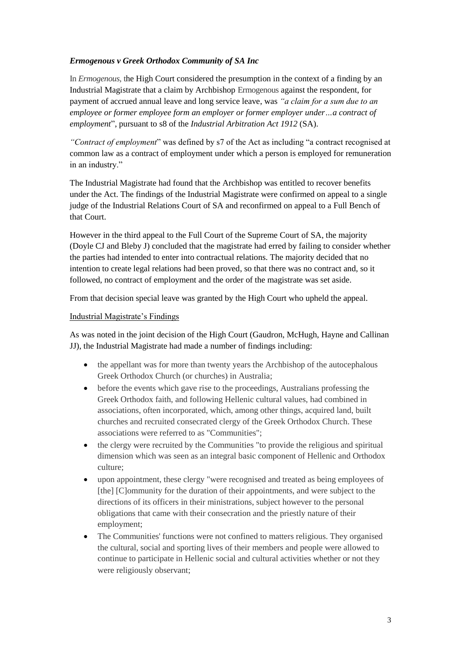# *Ermogenous v Greek Orthodox Community of SA Inc*

In *Ermogenous,* the High Court considered the presumption in the context of a finding by an Industrial Magistrate that a claim by Archbishop Ermogenous against the respondent, for payment of accrued annual leave and long service leave, was *"a claim for a sum due to an employee or former employee form an employer or former employer under…a contract of employment*", pursuant to s8 of the *Industrial Arbitration Act 1912* (SA).

*"Contract of employment*" was defined by s7 of the Act as including "a contract recognised at common law as a contract of employment under which a person is employed for remuneration in an industry."

The Industrial Magistrate had found that the Archbishop was entitled to recover benefits under the Act. The findings of the Industrial Magistrate were confirmed on appeal to a single judge of the Industrial Relations Court of SA and reconfirmed on appeal to a Full Bench of that Court.

However in the third appeal to the Full Court of the Supreme Court of SA, the majority (Doyle CJ and Bleby J) concluded that the magistrate had erred by failing to consider whether the parties had intended to enter into contractual relations. The majority decided that no intention to create legal relations had been proved, so that there was no contract and, so it followed, no contract of employment and the order of the magistrate was set aside.

From that decision special leave was granted by the High Court who upheld the appeal.

## Industrial Magistrate's Findings

As was noted in the joint decision of the High Court (Gaudron, McHugh, Hayne and Callinan JJ), the Industrial Magistrate had made a number of findings including:

- the appellant was for more than twenty years the Archbishop of the autocephalous Greek Orthodox Church (or churches) in Australia;
- before the events which gave rise to the proceedings, Australians professing the Greek Orthodox faith, and following Hellenic cultural values, had combined in associations, often incorporated, which, among other things, acquired land, built churches and recruited consecrated clergy of the Greek Orthodox Church. These associations were referred to as "Communities";
- the clergy were recruited by the Communities "to provide the religious and spiritual dimension which was seen as an integral basic component of Hellenic and Orthodox culture;
- upon appointment, these clergy "were recognised and treated as being employees of [the] [C]ommunity for the duration of their appointments, and were subject to the directions of its officers in their ministrations, subject however to the personal obligations that came with their consecration and the priestly nature of their employment;
- The Communities' functions were not confined to matters religious. They organised the cultural, social and sporting lives of their members and people were allowed to continue to participate in Hellenic social and cultural activities whether or not they were religiously observant;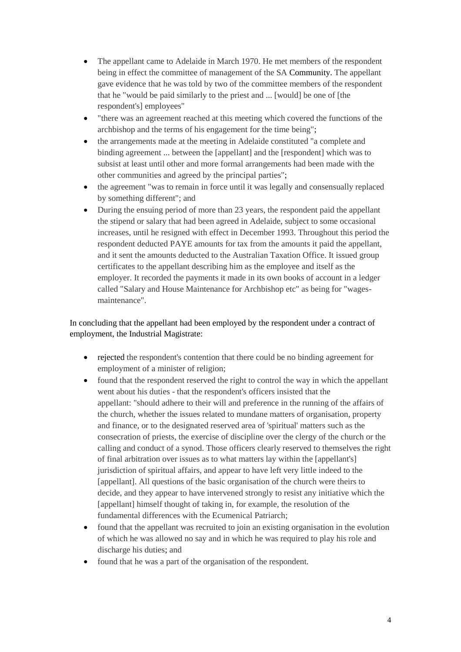- The appellant came to Adelaide in March 1970. He met members of the respondent being in effect the committee of management of the SA Community. The appellant gave evidence that he was told by two of the committee members of the respondent that he "would be paid similarly to the priest and ... [would] be one of [the respondent's] employees"
- "there was an agreement reached at this meeting which covered the functions of the archbishop and the terms of his engagement for the time being";
- the arrangements made at the meeting in Adelaide constituted "a complete and binding agreement ... between the [appellant] and the [respondent] which was to subsist at least until other and more formal arrangements had been made with the other communities and agreed by the principal parties";
- the agreement "was to remain in force until it was legally and consensually replaced by something different"; and
- During the ensuing period of more than 23 years, the respondent paid the appellant the stipend or salary that had been agreed in Adelaide, subject to some occasional increases, until he resigned with effect in December 1993. Throughout this period the respondent deducted PAYE amounts for tax from the amounts it paid the appellant, and it sent the amounts deducted to the Australian Taxation Office. It issued group certificates to the appellant describing him as the employee and itself as the employer. It recorded the payments it made in its own books of account in a ledger called "Salary and House Maintenance for Archbishop etc" as being for "wagesmaintenance".

In concluding that the appellant had been employed by the respondent under a contract of employment, the Industrial Magistrate:

- rejected the respondent's contention that there could be no binding agreement for employment of a minister of religion;
- found that the respondent reserved the right to control the way in which the appellant went about his duties - that the respondent's officers insisted that the appellant: "should adhere to their will and preference in the running of the affairs of the church, whether the issues related to mundane matters of organisation, property and finance, or to the designated reserved area of 'spiritual' matters such as the consecration of priests, the exercise of discipline over the clergy of the church or the calling and conduct of a synod. Those officers clearly reserved to themselves the right of final arbitration over issues as to what matters lay within the [appellant's] jurisdiction of spiritual affairs, and appear to have left very little indeed to the [appellant]. All questions of the basic organisation of the church were theirs to decide, and they appear to have intervened strongly to resist any initiative which the [appellant] himself thought of taking in, for example, the resolution of the fundamental differences with the Ecumenical Patriarch;
- found that the appellant was recruited to join an existing organisation in the evolution of which he was allowed no say and in which he was required to play his role and discharge his duties; and
- found that he was a part of the organisation of the respondent.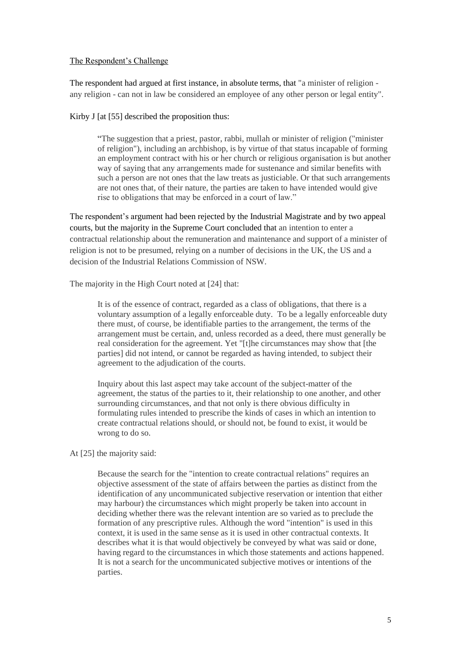#### The Respondent's Challenge

The respondent had argued at first instance, in absolute terms, that "a minister of religion any religion - can not in law be considered an employee of any other person or legal entity".

Kirby J [at [55] described the proposition thus:

"The suggestion that a priest, pastor, rabbi, mullah or minister of religion ("minister of religion"), including an archbishop, is by virtue of that status incapable of forming an employment contract with his or her church or religious organisation is but another way of saying that any arrangements made for sustenance and similar benefits with such a person are not ones that the law treats as justiciable. Or that such arrangements are not ones that, of their nature, the parties are taken to have intended would give rise to obligations that may be enforced in a court of law."

The respondent's argument had been rejected by the Industrial Magistrate and by two appeal courts, but the majority in the Supreme Court concluded that an intention to enter a contractual relationship about the remuneration and maintenance and support of a minister of religion is not to be presumed, relying on a number of decisions in the UK, the US and a decision of the Industrial Relations Commission of NSW.

The majority in the High Court noted at [24] that:

It is of the essence of contract, regarded as a class of obligations, that there is a voluntary assumption of a legally enforceable duty. To be a legally enforceable duty there must, of course, be identifiable parties to the arrangement, the terms of the arrangement must be certain, and, unless recorded as a deed, there must generally be real consideration for the agreement. Yet "[t]he circumstances may show that [the parties] did not intend, or cannot be regarded as having intended, to subject their agreement to the adjudication of the courts.

Inquiry about this last aspect may take account of the subject-matter of the agreement, the status of the parties to it, their relationship to one another, and other surrounding circumstances, and that not only is there obvious difficulty in formulating rules intended to prescribe the kinds of cases in which an intention to create contractual relations should, or should not, be found to exist, it would be wrong to do so.

At [25] the majority said:

Because the search for the "intention to create contractual relations" requires an objective assessment of the state of affairs between the parties as distinct from the identification of any uncommunicated subjective reservation or intention that either may harbour) the circumstances which might properly be taken into account in deciding whether there was the relevant intention are so varied as to preclude the formation of any prescriptive rules. Although the word "intention" is used in this context, it is used in the same sense as it is used in other contractual contexts. It describes what it is that would objectively be conveyed by what was said or done, having regard to the circumstances in which those statements and actions happened. It is not a search for the uncommunicated subjective motives or intentions of the parties.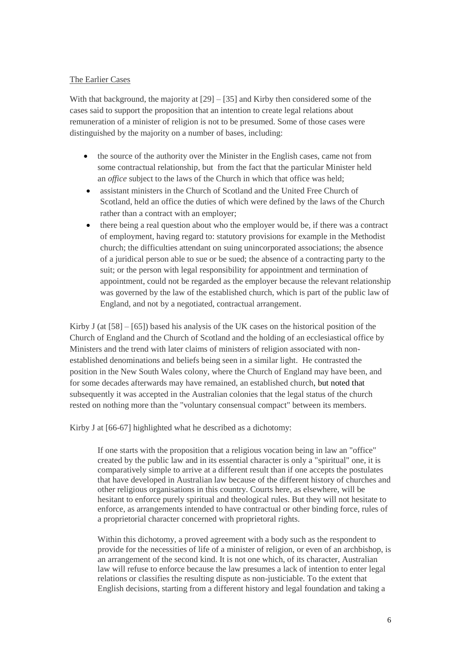## The Earlier Cases

With that background, the majority at  $[29] - [35]$  and Kirby then considered some of the cases said to support the proposition that an intention to create legal relations about remuneration of a minister of religion is not to be presumed. Some of those cases were distinguished by the majority on a number of bases, including:

- the source of the authority over the Minister in the English cases, came not from some contractual relationship, but from the fact that the particular Minister held an *office* subject to the laws of the Church in which that office was held;
- assistant ministers in the Church of Scotland and the United Free Church of Scotland, held an office the duties of which were defined by the laws of the Church rather than a contract with an employer;
- there being a real question about who the employer would be, if there was a contract of employment, having regard to: statutory provisions for example in the Methodist church; the difficulties attendant on suing unincorporated associations; the absence of a juridical person able to sue or be sued; the absence of a contracting party to the suit; or the person with legal responsibility for appointment and termination of appointment, could not be regarded as the employer because the relevant relationship was governed by the law of the established church, which is part of the public law of England, and not by a negotiated, contractual arrangement.

Kirby J (at  $[58] - [65]$ ) based his analysis of the UK cases on the historical position of the Church of England and the Church of Scotland and the holding of an ecclesiastical office by Ministers and the trend with later claims of ministers of religion associated with nonestablished denominations and beliefs being seen in a similar light. He contrasted the position in the New South Wales colony, where the Church of England may have been, and for some decades afterwards may have remained, an established church, but noted that subsequently it was accepted in the Australian colonies that the legal status of the church rested on nothing more than the "voluntary consensual compact" between its members.

Kirby J at [66-67] highlighted what he described as a dichotomy:

If one starts with the proposition that a religious vocation being in law an "office" created by the public law and in its essential character is only a "spiritual" one, it is comparatively simple to arrive at a different result than if one accepts the postulates that have developed in Australian law because of the different history of churches and other religious organisations in this country. Courts here, as elsewhere, will be hesitant to enforce purely spiritual and theological rules. But they will not hesitate to enforce, as arrangements intended to have contractual or other binding force, rules of a proprietorial character concerned with proprietoral rights.

Within this dichotomy, a proved agreement with a body such as the respondent to provide for the necessities of life of a minister of religion, or even of an archbishop, is an arrangement of the second kind. It is not one which, of its character, Australian law will refuse to enforce because the law presumes a lack of intention to enter legal relations or classifies the resulting dispute as non-justiciable. To the extent that English decisions, starting from a different history and legal foundation and taking a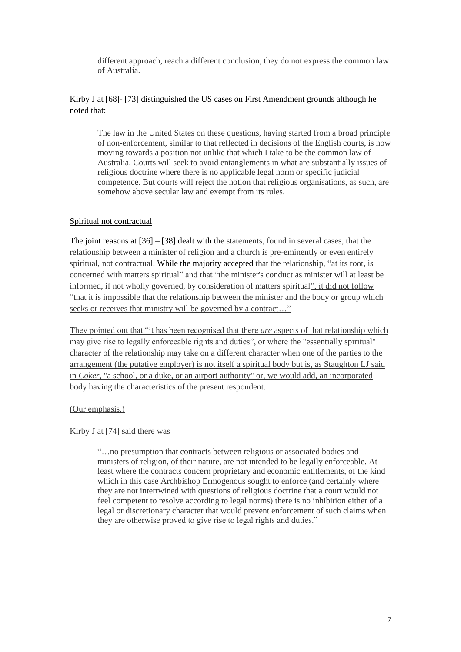different approach, reach a different conclusion, they do not express the common law of Australia.

# Kirby J at [68]- [73] distinguished the US cases on First Amendment grounds although he noted that:

The law in the United States on these questions, having started from a broad principle of non-enforcement, similar to that reflected in decisions of the English courts, is now moving towards a position not unlike that which I take to be the common law of Australia. Courts will seek to avoid entanglements in what are substantially issues of religious doctrine where there is no applicable legal norm or specific judicial competence. But courts will reject the notion that religious organisations, as such, are somehow above secular law and exempt from its rules.

## Spiritual not contractual

The joint reasons at [36] – [38] dealt with the statements, found in several cases, that the relationship between a minister of religion and a church is pre-eminently or even entirely spiritual, not contractual. While the majority accepted that the relationship, "at its root, is concerned with matters spiritual" and that "the minister's conduct as minister will at least be informed, if not wholly governed, by consideration of matters spiritual", it did not follow "that it is impossible that the relationship between the minister and the body or group which seeks or receives that ministry will be governed by a contract..."

They pointed out that "it has been recognised that there *are* aspects of that relationship which may give rise to legally enforceable rights and duties", or where the "essentially spiritual" character of the relationship may take on a different character when one of the parties to the arrangement (the putative employer) is not itself a spiritual body but is, as Staughton LJ said in *Coker*, "a school, or a duke, or an airport authority" or, we would add, an incorporated body having the characteristics of the present respondent.

# (Our emphasis.)

Kirby J at [74] said there was

"…no presumption that contracts between religious or associated bodies and ministers of religion, of their nature, are not intended to be legally enforceable. At least where the contracts concern proprietary and economic entitlements, of the kind which in this case Archbishop Ermogenous sought to enforce (and certainly where they are not intertwined with questions of religious doctrine that a court would not feel competent to resolve according to legal norms) there is no inhibition either of a legal or discretionary character that would prevent enforcement of such claims when they are otherwise proved to give rise to legal rights and duties."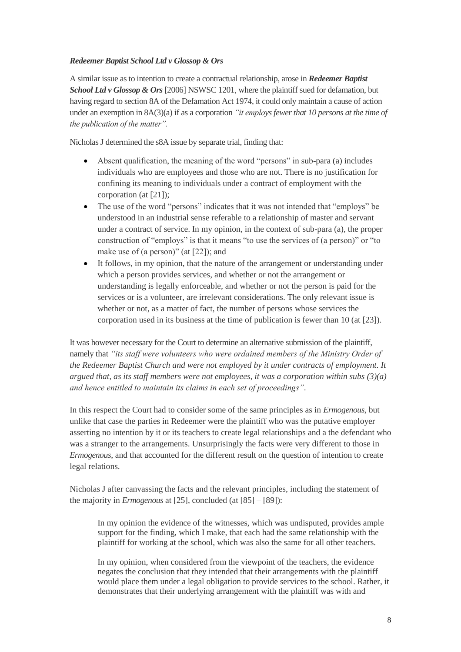# *Redeemer Baptist School Ltd v Glossop & Ors*

A similar issue as to intention to create a contractual relationship, arose in *Redeemer Baptist School Ltd v Glossop & Ors*[2006] NSWSC 1201, where the plaintiff sued for defamation, but having regard to section 8A of the Defamation Act 1974, it could only maintain a cause of action under an exemption in 8A(3)(a) if as a corporation *"it employs fewer that 10 persons at the time of the publication of the matter".* 

Nicholas J determined the s8A issue by separate trial, finding that:

- Absent qualification, the meaning of the word "persons" in sub-para (a) includes individuals who are employees and those who are not. There is no justification for confining its meaning to individuals under a contract of employment with the corporation (at [21]);
- The use of the word "persons" indicates that it was not intended that "employs" be understood in an industrial sense referable to a relationship of master and servant under a contract of service. In my opinion, in the context of sub-para (a), the proper construction of "employs" is that it means "to use the services of (a person)" or "to make use of (a person)" (at [22]); and
- It follows, in my opinion, that the nature of the arrangement or understanding under which a person provides services, and whether or not the arrangement or understanding is legally enforceable, and whether or not the person is paid for the services or is a volunteer, are irrelevant considerations. The only relevant issue is whether or not, as a matter of fact, the number of persons whose services the corporation used in its business at the time of publication is fewer than 10 (at [23]).

It was however necessary for the Court to determine an alternative submission of the plaintiff, namely that *"its staff were volunteers who were ordained members of the Ministry Order of the Redeemer Baptist Church and were not employed by it under contracts of employment. It argued that, as its staff members were not employees, it was a corporation within subs (3)(a) and hence entitled to maintain its claims in each set of proceedings"*.

In this respect the Court had to consider some of the same principles as in *Ermogenous*, but unlike that case the parties in Redeemer were the plaintiff who was the putative employer asserting no intention by it or its teachers to create legal relationships and a the defendant who was a stranger to the arrangements. Unsurprisingly the facts were very different to those in *Ermogenous*, and that accounted for the different result on the question of intention to create legal relations.

Nicholas J after canvassing the facts and the relevant principles, including the statement of the majority in *Ermogenous* at [25], concluded (at [85] – [89]):

In my opinion the evidence of the witnesses, which was undisputed, provides ample support for the finding, which I make, that each had the same relationship with the plaintiff for working at the school, which was also the same for all other teachers.

In my opinion, when considered from the viewpoint of the teachers, the evidence negates the conclusion that they intended that their arrangements with the plaintiff would place them under a legal obligation to provide services to the school. Rather, it demonstrates that their underlying arrangement with the plaintiff was with and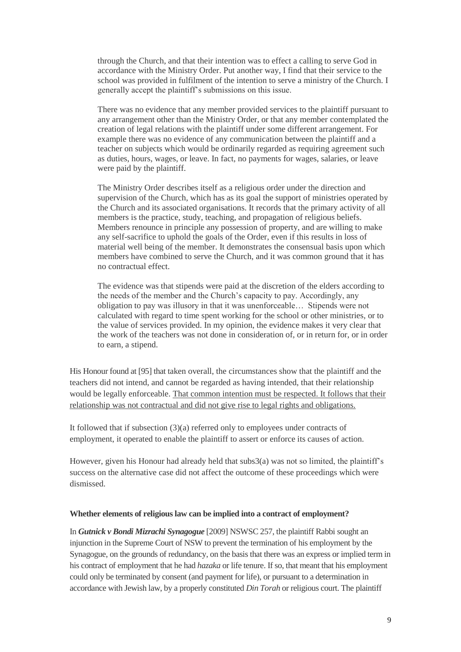through the Church, and that their intention was to effect a calling to serve God in accordance with the Ministry Order. Put another way, I find that their service to the school was provided in fulfilment of the intention to serve a ministry of the Church. I generally accept the plaintiff's submissions on this issue.

There was no evidence that any member provided services to the plaintiff pursuant to any arrangement other than the Ministry Order, or that any member contemplated the creation of legal relations with the plaintiff under some different arrangement. For example there was no evidence of any communication between the plaintiff and a teacher on subjects which would be ordinarily regarded as requiring agreement such as duties, hours, wages, or leave. In fact, no payments for wages, salaries, or leave were paid by the plaintiff.

The Ministry Order describes itself as a religious order under the direction and supervision of the Church, which has as its goal the support of ministries operated by the Church and its associated organisations. It records that the primary activity of all members is the practice, study, teaching, and propagation of religious beliefs. Members renounce in principle any possession of property, and are willing to make any self-sacrifice to uphold the goals of the Order, even if this results in loss of material well being of the member. It demonstrates the consensual basis upon which members have combined to serve the Church, and it was common ground that it has no contractual effect.

The evidence was that stipends were paid at the discretion of the elders according to the needs of the member and the Church's capacity to pay. Accordingly, any obligation to pay was illusory in that it was unenforceable… Stipends were not calculated with regard to time spent working for the school or other ministries, or to the value of services provided. In my opinion, the evidence makes it very clear that the work of the teachers was not done in consideration of, or in return for, or in order to earn, a stipend.

His Honour found at [95] that taken overall, the circumstances show that the plaintiff and the teachers did not intend, and cannot be regarded as having intended, that their relationship would be legally enforceable. That common intention must be respected. It follows that their relationship was not contractual and did not give rise to legal rights and obligations.

It followed that if subsection (3)(a) referred only to employees under contracts of employment, it operated to enable the plaintiff to assert or enforce its causes of action.

However, given his Honour had already held that subs3(a) was not so limited, the plaintiff's success on the alternative case did not affect the outcome of these proceedings which were dismissed.

#### **Whether elements of religious law can be implied into a contract of employment?**

In *Gutnick v Bondi Mizrachi Synagogue* [2009] NSWSC 257, the plaintiff Rabbi sought an injunction in the Supreme Court of NSW to prevent the termination of his employment by the Synagogue, on the grounds of redundancy, on the basis that there was an express or implied term in his contract of employment that he had *hazaka* or life tenure. If so, that meant that his employment could only be terminated by consent (and payment for life), or pursuant to a determination in accordance with Jewish law, by a properly constituted *Din Torah* or religious court. The plaintiff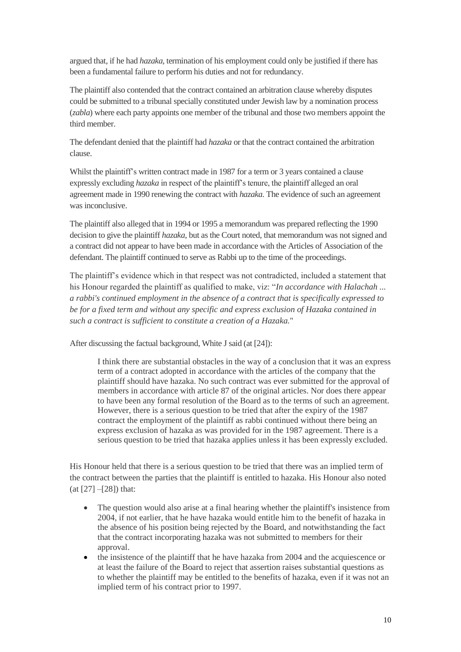argued that, if he had *hazaka,* termination of his employment could only be justified if there has been a fundamental failure to perform his duties and not for redundancy.

The plaintiff also contended that the contract contained an arbitration clause whereby disputes could be submitted to a tribunal specially constituted under Jewish law by a nomination process (*zabla*) where each party appoints one member of the tribunal and those two members appoint the third member.

The defendant denied that the plaintiff had *hazaka* or that the contract contained the arbitration clause.

Whilst the plaintiff's written contract made in 1987 for a term or 3 years contained a clause expressly excluding *hazaka* in respect of the plaintiff's tenure, the plaintiff alleged an oral agreement made in 1990 renewing the contract with *hazaka.* The evidence of such an agreement was inconclusive.

The plaintiff also alleged that in 1994 or 1995 a memorandum was prepared reflecting the 1990 decision to give the plaintiff *hazaka*, but as the Court noted, that memorandum was not signed and a contract did not appear to have been made in accordance with the Articles of Association of the defendant. The plaintiff continued to serve as Rabbi up to the time of the proceedings.

The plaintiff's evidence which in that respect was not contradicted, included a statement that his Honour regarded the plaintiff as qualified to make, viz: "*In accordance with Halachah ... a rabbi's continued employment in the absence of a contract that is specifically expressed to be for a fixed term and without any specific and express exclusion of Hazaka contained in such a contract is sufficient to constitute a creation of a Hazaka.*"

After discussing the factual background, White J said (at [24]):

I think there are substantial obstacles in the way of a conclusion that it was an express term of a contract adopted in accordance with the articles of the company that the plaintiff should have hazaka. No such contract was ever submitted for the approval of members in accordance with article 87 of the original articles. Nor does there appear to have been any formal resolution of the Board as to the terms of such an agreement. However, there is a serious question to be tried that after the expiry of the 1987 contract the employment of the plaintiff as rabbi continued without there being an express exclusion of hazaka as was provided for in the 1987 agreement. There is a serious question to be tried that hazaka applies unless it has been expressly excluded.

His Honour held that there is a serious question to be tried that there was an implied term of the contract between the parties that the plaintiff is entitled to hazaka. His Honour also noted (at [27] –[28]) that:

- The question would also arise at a final hearing whether the plaintiff's insistence from 2004, if not earlier, that he have hazaka would entitle him to the benefit of hazaka in the absence of his position being rejected by the Board, and notwithstanding the fact that the contract incorporating hazaka was not submitted to members for their approval.
- the insistence of the plaintiff that he have hazaka from 2004 and the acquiescence or at least the failure of the Board to reject that assertion raises substantial questions as to whether the plaintiff may be entitled to the benefits of hazaka, even if it was not an implied term of his contract prior to 1997.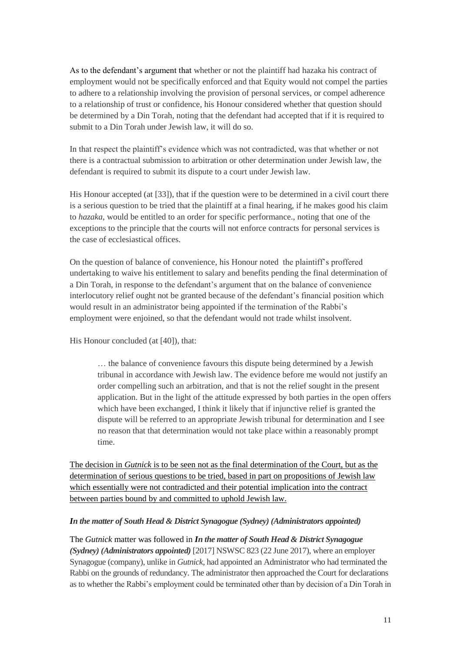As to the defendant's argument that whether or not the plaintiff had hazaka his contract of employment would not be specifically enforced and that Equity would not compel the parties to adhere to a relationship involving the provision of personal services, or compel adherence to a relationship of trust or confidence, his Honour considered whether that question should be determined by a Din Torah, noting that the defendant had accepted that if it is required to submit to a Din Torah under Jewish law, it will do so.

In that respect the plaintiff's evidence which was not contradicted, was that whether or not there is a contractual submission to arbitration or other determination under Jewish law, the defendant is required to submit its dispute to a court under Jewish law.

His Honour accepted (at [33]), that if the question were to be determined in a civil court there is a serious question to be tried that the plaintiff at a final hearing, if he makes good his claim to *hazaka*, would be entitled to an order for specific performance., noting that one of the exceptions to the principle that the courts will not enforce contracts for personal services is the case of ecclesiastical offices.

On the question of balance of convenience, his Honour noted the plaintiff's proffered undertaking to waive his entitlement to salary and benefits pending the final determination of a Din Torah, in response to the defendant's argument that on the balance of convenience interlocutory relief ought not be granted because of the defendant's financial position which would result in an administrator being appointed if the termination of the Rabbi's employment were enjoined, so that the defendant would not trade whilst insolvent.

His Honour concluded (at [40]), that:

… the balance of convenience favours this dispute being determined by a Jewish tribunal in accordance with Jewish law. The evidence before me would not justify an order compelling such an arbitration, and that is not the relief sought in the present application. But in the light of the attitude expressed by both parties in the open offers which have been exchanged, I think it likely that if injunctive relief is granted the dispute will be referred to an appropriate Jewish tribunal for determination and I see no reason that that determination would not take place within a reasonably prompt time.

The decision in *Gutnick* is to be seen not as the final determination of the Court, but as the determination of serious questions to be tried, based in part on propositions of Jewish law which essentially were not contradicted and their potential implication into the contract between parties bound by and committed to uphold Jewish law.

#### *In the matter of South Head & District Synagogue (Sydney) (Administrators appointed)*

The *Gutnick* matter was followed in *In the matter of South Head & District Synagogue (Sydney) (Administrators appointed)* [2017] NSWSC 823 (22 June 2017), where an employer Synagogue (company), unlike in *Gutnick*, had appointed an Administrator who had terminated the Rabbi on the grounds of redundancy. The administrator then approached the Court for declarations as to whether the Rabbi's employment could be terminated other than by decision of a Din Torah in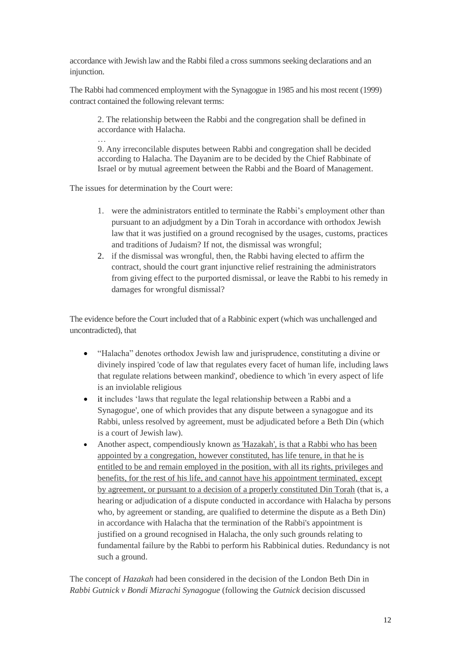accordance with Jewish law and the Rabbi filed a cross summons seeking declarations and an injunction.

The Rabbi had commenced employment with the Synagogue in 1985 and his most recent (1999) contract contained the following relevant terms:

2. The relationship between the Rabbi and the congregation shall be defined in accordance with Halacha.

9. Any irreconcilable disputes between Rabbi and congregation shall be decided according to Halacha. The Dayanim are to be decided by the Chief Rabbinate of Israel or by mutual agreement between the Rabbi and the Board of Management.

The issues for determination by the Court were:

…

- 1. were the administrators entitled to terminate the Rabbi's employment other than pursuant to an adjudgment by a Din Torah in accordance with orthodox Jewish law that it was justified on a ground recognised by the usages, customs, practices and traditions of Judaism? If not, the dismissal was wrongful;
- 2. if the dismissal was wrongful, then, the Rabbi having elected to affirm the contract, should the court grant injunctive relief restraining the administrators from giving effect to the purported dismissal, or leave the Rabbi to his remedy in damages for wrongful dismissal?

The evidence before the Court included that of a Rabbinic expert (which was unchallenged and uncontradicted), that

- "Halacha" denotes orthodox Jewish law and jurisprudence, constituting a divine or divinely inspired 'code of law that regulates every facet of human life, including laws that regulate relations between mankind', obedience to which 'in every aspect of life is an inviolable religious
- it includes 'laws that regulate the legal relationship between a Rabbi and a Synagogue', one of which provides that any dispute between a synagogue and its Rabbi, unless resolved by agreement, must be adjudicated before a Beth Din (which is a court of Jewish law).
- Another aspect, compendiously known as 'Hazakah', is that a Rabbi who has been appointed by a congregation, however constituted, has life tenure, in that he is entitled to be and remain employed in the position, with all its rights, privileges and benefits, for the rest of his life, and cannot have his appointment terminated, except by agreement, or pursuant to a decision of a properly constituted Din Torah (that is, a hearing or adjudication of a dispute conducted in accordance with Halacha by persons who, by agreement or standing, are qualified to determine the dispute as a Beth Din) in accordance with Halacha that the termination of the Rabbi's appointment is justified on a ground recognised in Halacha, the only such grounds relating to fundamental failure by the Rabbi to perform his Rabbinical duties. Redundancy is not such a ground.

The concept of *Hazakah* had been considered in the decision of the London Beth Din in *Rabbi Gutnick v Bondi Mizrachi Synagogue* (following the *Gutnick* decision discussed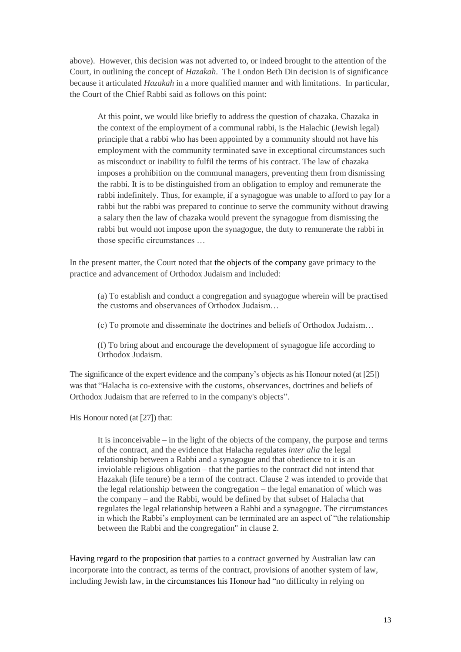above).However, this decision was not adverted to, or indeed brought to the attention of the Court, in outlining the concept of *Hazakah*. The London Beth Din decision is of significance because it articulated *Hazakah* in a more qualified manner and with limitations. In particular, the Court of the Chief Rabbi said as follows on this point:

At this point, we would like briefly to address the question of chazaka. Chazaka in the context of the employment of a communal rabbi, is the Halachic (Jewish legal) principle that a rabbi who has been appointed by a community should not have his employment with the community terminated save in exceptional circumstances such as misconduct or inability to fulfil the terms of his contract. The law of chazaka imposes a prohibition on the communal managers, preventing them from dismissing the rabbi. It is to be distinguished from an obligation to employ and remunerate the rabbi indefinitely. Thus, for example, if a synagogue was unable to afford to pay for a rabbi but the rabbi was prepared to continue to serve the community without drawing a salary then the law of chazaka would prevent the synagogue from dismissing the rabbi but would not impose upon the synagogue, the duty to remunerate the rabbi in those specific circumstances …

In the present matter, the Court noted that the objects of the company gave primacy to the practice and advancement of Orthodox Judaism and included:

(a) To establish and conduct a congregation and synagogue wherein will be practised the customs and observances of Orthodox Judaism…

(c) To promote and disseminate the doctrines and beliefs of Orthodox Judaism…

(f) To bring about and encourage the development of synagogue life according to Orthodox Judaism.

The significance of the expert evidence and the company's objects as his Honour noted (at [25]) was that "Halacha is co-extensive with the customs, observances, doctrines and beliefs of Orthodox Judaism that are referred to in the company's objects".

His Honour noted (at [27]) that:

It is inconceivable – in the light of the objects of the company, the purpose and terms of the contract, and the evidence that Halacha regulates *inter alia* the legal relationship between a Rabbi and a synagogue and that obedience to it is an inviolable religious obligation – that the parties to the contract did not intend that Hazakah (life tenure) be a term of the contract. Clause 2 was intended to provide that the legal relationship between the congregation – the legal emanation of which was the company – and the Rabbi, would be defined by that subset of Halacha that regulates the legal relationship between a Rabbi and a synagogue. The circumstances in which the Rabbi's employment can be terminated are an aspect of "the relationship between the Rabbi and the congregation" in clause 2.

Having regard to the proposition that parties to a contract governed by Australian law can incorporate into the contract, as terms of the contract, provisions of another system of law, including Jewish law, in the circumstances his Honour had "no difficulty in relying on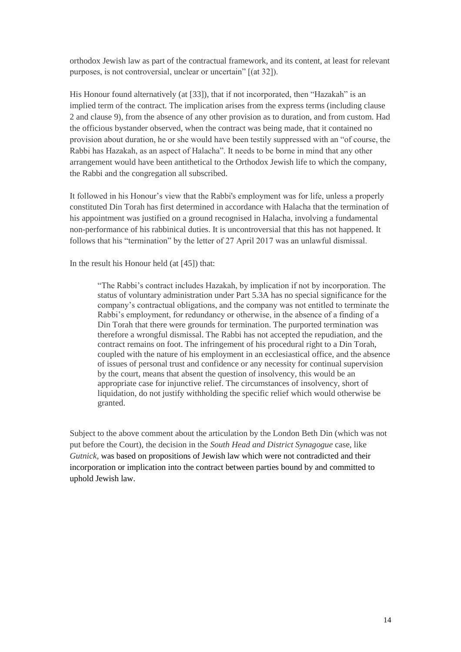orthodox Jewish law as part of the contractual framework, and its content, at least for relevant purposes, is not controversial, unclear or uncertain" [(at 32]).

His Honour found alternatively (at [33]), that if not incorporated, then "Hazakah" is an implied term of the contract. The implication arises from the express terms (including clause 2 and clause 9), from the absence of any other provision as to duration, and from custom. Had the officious bystander observed, when the contract was being made, that it contained no provision about duration, he or she would have been testily suppressed with an "of course, the Rabbi has Hazakah, as an aspect of Halacha". It needs to be borne in mind that any other arrangement would have been antithetical to the Orthodox Jewish life to which the company, the Rabbi and the congregation all subscribed.

It followed in his Honour's view that the Rabbi's employment was for life, unless a properly constituted Din Torah has first determined in accordance with Halacha that the termination of his appointment was justified on a ground recognised in Halacha, involving a fundamental non-performance of his rabbinical duties. It is uncontroversial that this has not happened. It follows that his "termination" by the letter of 27 April 2017 was an unlawful dismissal.

In the result his Honour held (at [45]) that:

"The Rabbi's contract includes Hazakah, by implication if not by incorporation. The status of voluntary administration under Part 5.3A has no special significance for the company's contractual obligations, and the company was not entitled to terminate the Rabbi's employment, for redundancy or otherwise, in the absence of a finding of a Din Torah that there were grounds for termination. The purported termination was therefore a wrongful dismissal. The Rabbi has not accepted the repudiation, and the contract remains on foot. The infringement of his procedural right to a Din Torah, coupled with the nature of his employment in an ecclesiastical office, and the absence of issues of personal trust and confidence or any necessity for continual supervision by the court, means that absent the question of insolvency, this would be an appropriate case for injunctive relief. The circumstances of insolvency, short of liquidation, do not justify withholding the specific relief which would otherwise be granted.

Subject to the above comment about the articulation by the London Beth Din (which was not put before the Court), the decision in the *South Head and District Synagogue* case, like *Gutnick,* was based on propositions of Jewish law which were not contradicted and their incorporation or implication into the contract between parties bound by and committed to uphold Jewish law.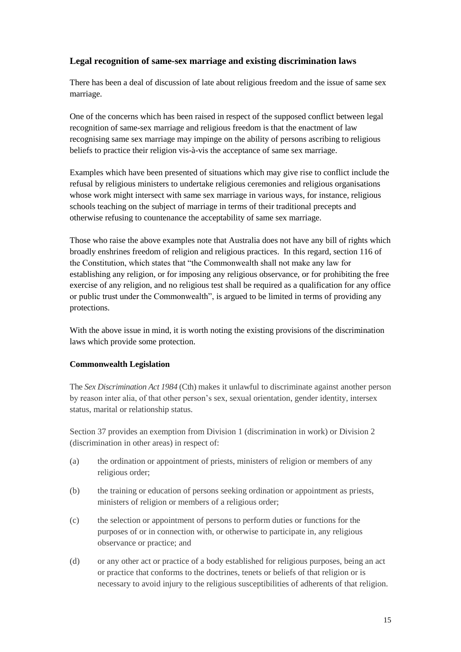# **Legal recognition of same-sex marriage and existing discrimination laws**

There has been a deal of discussion of late about religious freedom and the issue of same sex marriage.

One of the concerns which has been raised in respect of the supposed conflict between legal recognition of same-sex marriage and religious freedom is that the enactment of law recognising same sex marriage may impinge on the ability of persons ascribing to religious beliefs to practice their religion vis-à-vis the acceptance of same sex marriage.

Examples which have been presented of situations which may give rise to conflict include the refusal by religious ministers to undertake religious ceremonies and religious organisations whose work might intersect with same sex marriage in various ways, for instance, religious schools teaching on the subject of marriage in terms of their traditional precepts and otherwise refusing to countenance the acceptability of same sex marriage.

Those who raise the above examples note that Australia does not have any bill of rights which broadly enshrines freedom of religion and religious practices. In this regard, section 116 of the Constitution, which states that "the Commonwealth shall not make any law for establishing any religion, or for imposing any religious observance, or for prohibiting the free exercise of any religion, and no religious test shall be required as a qualification for any office or public trust under the Commonwealth", is argued to be limited in terms of providing any protections.

With the above issue in mind, it is worth noting the existing provisions of the discrimination laws which provide some protection.

# **Commonwealth Legislation**

The *Sex Discrimination Act 1984* (Cth) makes it unlawful to discriminate against another person by reason inter alia, of that other person's sex, sexual orientation, gender identity, intersex status, marital or relationship status.

Section 37 provides an exemption from Division 1 (discrimination in work) or Division 2 (discrimination in other areas) in respect of:

- (a) the ordination or appointment of priests, ministers of religion or members of any religious order;
- (b) the training or education of persons seeking ordination or appointment as priests, ministers of religion or members of a religious order;
- (c) the selection or appointment of persons to perform duties or functions for the purposes of or in connection with, or otherwise to participate in, any religious observance or practice; and
- (d) or any other act or practice of a body established for religious purposes, being an act or practice that conforms to the doctrines, tenets or beliefs of that religion or is necessary to avoid injury to the religious susceptibilities of adherents of that religion.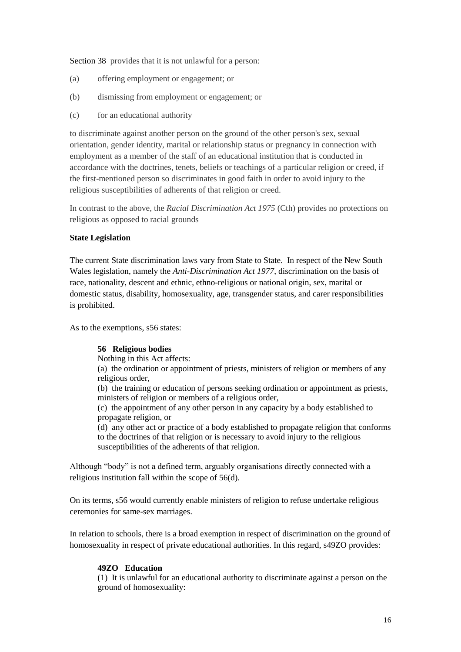Section 38 provides that it is not unlawful for a person:

- (a) offering employment or engagement; or
- (b) dismissing from employment or engagement; or
- (c) for an educational authority

to discriminate against another person on the ground of the other person's sex, sexual orientation, gender identity, marital or relationship status or pregnancy in connection with employment as a member of the staff of an educational institution that is conducted in accordance with the doctrines, tenets, beliefs or teachings of a particular religion or creed, if the first-mentioned person so discriminates in good faith in order to avoid injury to the religious susceptibilities of adherents of that religion or creed.

In contrast to the above, the *Racial Discrimination Act 1975* (Cth) provides no protections on religious as opposed to racial grounds

## **State Legislation**

The current State discrimination laws vary from State to State. In respect of the New South Wales legislation, namely the *Anti-Discrimination Act 1977*, discrimination on the basis of race, nationality, descent and ethnic, ethno-religious or national origin, sex, marital or domestic status, disability, homosexuality, age, transgender status, and carer responsibilities is prohibited.

As to the exemptions, s56 states:

# **56 Religious bodies**

Nothing in this Act affects:

(a) the ordination or appointment of priests, ministers of religion or members of any religious order,

(b) the training or education of persons seeking ordination or appointment as priests, ministers of religion or members of a religious order,

(c) the appointment of any other person in any capacity by a body established to propagate religion, or

(d) any other act or practice of a body established to propagate religion that conforms to the doctrines of that religion or is necessary to avoid injury to the religious susceptibilities of the adherents of that religion.

Although "body" is not a defined term, arguably organisations directly connected with a religious institution fall within the scope of 56(d).

On its terms, s56 would currently enable ministers of religion to refuse undertake religious ceremonies for same-sex marriages.

In relation to schools, there is a broad exemption in respect of discrimination on the ground of homosexuality in respect of private educational authorities. In this regard, s49ZO provides:

# **49ZO Education**

(1) It is unlawful for an educational authority to discriminate against a person on the ground of homosexuality: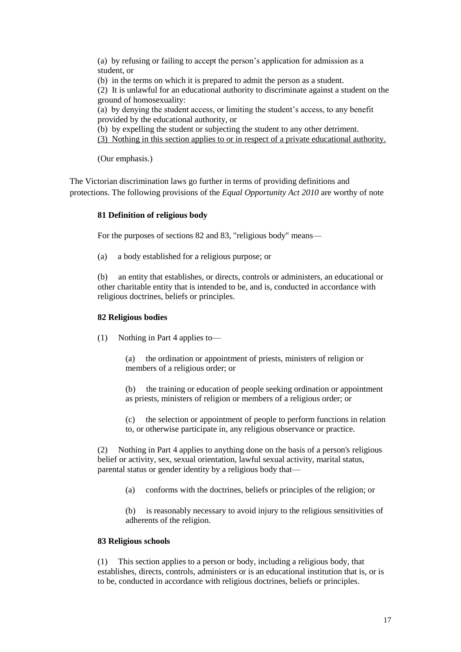(a) by refusing or failing to accept the person's application for admission as a student, or

(b) in the terms on which it is prepared to admit the person as a student.

(2) It is unlawful for an educational authority to discriminate against a student on the ground of homosexuality:

(a) by denying the student access, or limiting the student's access, to any benefit provided by the educational authority, or

(b) by expelling the student or subjecting the student to any other detriment.

(3) Nothing in this section applies to or in respect of a private educational authority.

(Our emphasis.)

The Victorian discrimination laws go further in terms of providing definitions and protections. The following provisions of the *Equal Opportunity Act 2010* are worthy of note

#### **81 Definition of religious body**

For the purposes of sections 82 and 83, "religious body" means—

(a) a body established for a religious purpose; or

(b) an entity that establishes, or directs, controls or administers, an educational or other charitable entity that is intended to be, and is, conducted in accordance with religious doctrines, beliefs or principles.

#### **82 Religious bodies**

(1) Nothing in Part 4 applies to—

the ordination or appointment of priests, ministers of religion or members of a religious order; or

(b) the training or education of people seeking ordination or appointment as priests, ministers of religion or members of a religious order; or

(c) the selection or appointment of people to perform functions in relation to, or otherwise participate in, any religious observance or practice.

(2) Nothing in Part 4 applies to anything done on the basis of a person's [religious](http://www.austlii.edu.au/cgi-bin/viewdoc/au/legis/vic/consol_act/eoa2010250/s4.html#religious_belief_or_activity)  [belief or activity,](http://www.austlii.edu.au/cgi-bin/viewdoc/au/legis/vic/consol_act/eoa2010250/s4.html#religious_belief_or_activity) sex, sexual orientation, lawful sexual activity, marital status, parental status or [gender identity](http://www.austlii.edu.au/cgi-bin/viewdoc/au/legis/vic/consol_act/eoa2010250/s4.html#gender_identity) by a religious body that—

(a) conforms with the doctrines, beliefs or principles of the religion; or

(b) is reasonably necessary to avoid injury to the religious sensitivities of adherents of the religion.

#### **83 Religious schools**

(1) This section applies to a person or body, including a religious body, that establishes, directs, controls, administers or is an educational institution that is, or is to be, conducted in accordance with religious doctrines, beliefs or principles.